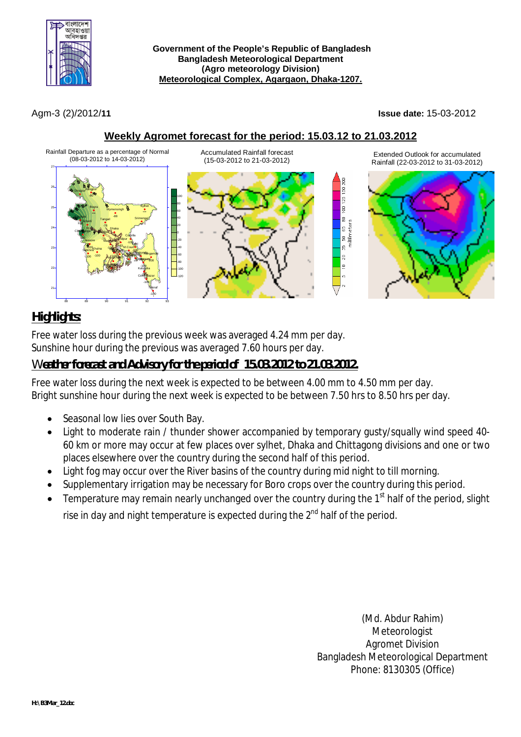

 **Government of the People's Republic of Bangladesh Bangladesh Meteorological Department (Agro meteorology Division) Meteorological Complex, Agargaon, Dhaka-1207.**

Agm-3 (2)/2012/**11 Issue date:** 15-03-2012

### **Weekly Agromet forecast for the period: 15.03.12 to 21.03.2012**



# *Highlights:*

Free water loss during the previous week was averaged 4.24 mm per day. Sunshine hour during the previous was averaged 7.60 hours per day.

## *Weather forecast and Advisory for the period of 15.03.2012 to 21.03.2012.*

Free water loss during the next week is expected to be between 4.00 mm to 4.50 mm per day. Bright sunshine hour during the next week is expected to be between 7.50 hrs to 8.50 hrs per day.

- Seasonal low lies over South Bay.
- Light to moderate rain / thunder shower accompanied by temporary gusty/squally wind speed 40- 60 km or more may occur at few places over sylhet, Dhaka and Chittagong divisions and one or two places elsewhere over the country during the second half of this period.
- Light fog may occur over the River basins of the country during mid night to till morning.
- Supplementary irrigation may be necessary for Boro crops over the country during this period.
- $\bullet$  Temperature may remain nearly unchanged over the country during the 1<sup>st</sup> half of the period, slight rise in day and night temperature is expected during the  $2^{nd}$  half of the period.

(Md. Abdur Rahim) **Meteorologist** Agromet Division Bangladesh Meteorological Department Phone: 8130305 (Office)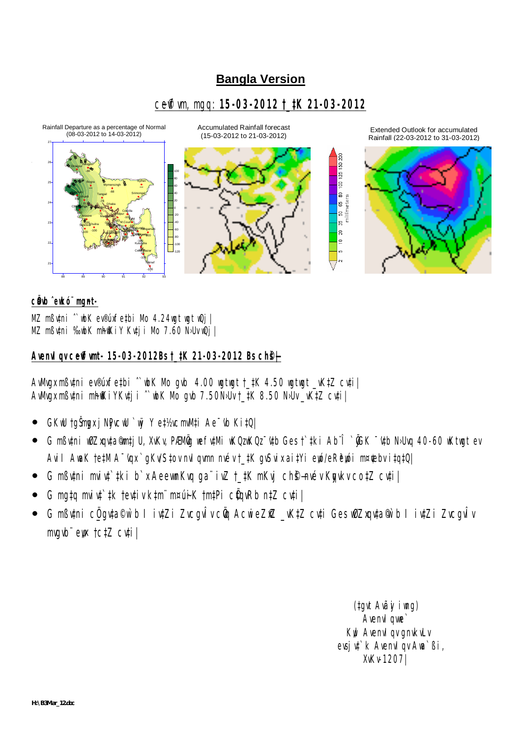# **Bangla Version**

# ceff m, mgq: 15-03-2012 t\_tK 21-03-2012



#### cülb eukó mant-

MZ mßutni ~ wbK ev®uxfetbi Mo 4.24 wgt wgt wQj | MZ mButni ‰wbK mhfKiY Kutji Mo 7.60 N>Uv wQj |

#### Avenul qu ceff unt- 15-03-2012Bs t\_tK 21-03-2012 Bs ch \$+

Awwgx mButni ev®uxfetbi ~ wbK Mo gvb 4.00 wgtwgt t\_tK 4.50 wgtwgt \_vKtZ cuti | Awwgx mßutni mhfKiYKutji ^wbK Mo qub 7.50NJU t\_tK 8.50 NJU \_vKtZ cuti

- GKIU tgŠmgx j NPvcIU `INYY et½vcmVM#i Ae vb KitQ|
- G mßv‡ni w0Zxqv‡a¶m‡j U, XvKv, PÆMÖg wefv‡Mi wKQzwKQzīv‡b Ges†tki Ab¨Î `ÕGK īv‡b N>Uvq 40-60 wKtwgt ev Avil AwaK tetM A<sup>-</sup>vgx `gKv/Stov nvl gwmn nvév t tK gvSvix aitYi ewó/eRewói m¤¢ebv itgtQ|
- G mßv‡ni mviv‡`‡ki b`x AeewnKvq ga¨ivZ †\_‡K mKvj chŝ-nvév Kpykv co‡Z cv‡i |
- G mata mvivt tk tevtiv ktm m¤úiK tmtPi c0qvRb ntZ cvti |
- G mßvtni cügvta®w`b I ivtZi Zvcgvlv cÖq AcwieZfZ \_vKtZ cvti Gesw0Zxqvta® b I ivtZi Zvcgvlv mvqvb" ew tctZ cvtil

(tgyt Avãy i ung) Avenvl awe Kwl Avenvl qv gnvkvLv evsi v<sup>\*</sup> k Avenyl qv Awa Bi, XvKv-1207